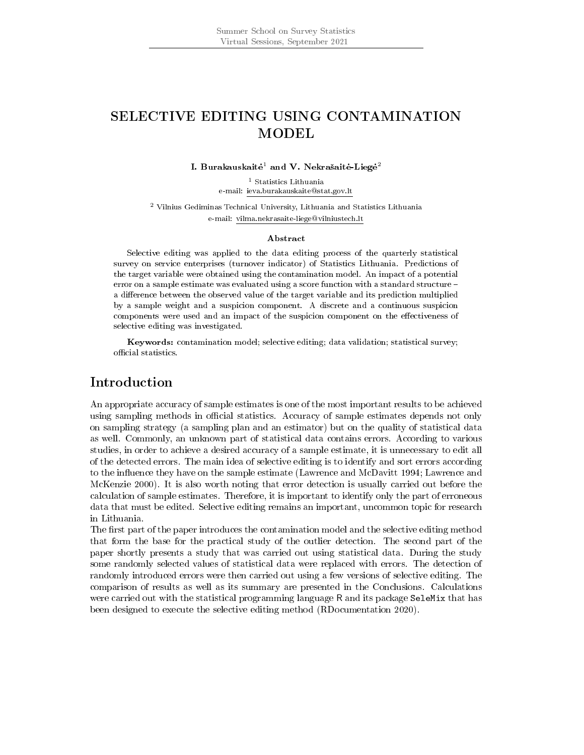# SELECTIVE EDITING USING CONTAMINATION MODEL

#### I. Burakauskaitė $^1$  and V. Nekrašaitė-Liegė $^2$

<sup>1</sup> Statistics Lithuania e-mail: ieva.burakauskaite@stat.gov.lt

<sup>2</sup> Vilnius Gediminas Technical University, Lithuania and Statistics Lithuania e-mail: vilma.nekrasaite-liege@vilniustech.lt

#### Abstract

Selective editing was applied to the data editing process of the quarterly statistical survey on service enterprises (turnover indicator) of Statistics Lithuania. Predictions of the target variable were obtained using the contamination model. An impact of a potential error on a sample estimate was evaluated using a score function with a standard structure a difference between the observed value of the target variable and its prediction multiplied by a sample weight and a suspicion component. A discrete and a continuous suspicion components were used and an impact of the suspicion component on the effectiveness of selective editing was investigated.

Keywords: contamination model; selective editing; data validation; statistical survey; official statistics.

## Introduction

An appropriate accuracy of sample estimates is one of the most important results to be achieved using sampling methods in official statistics. Accuracy of sample estimates depends not only on sampling strategy (a sampling plan and an estimator) but on the quality of statistical data as well. Commonly, an unknown part of statistical data contains errors. According to various studies, in order to achieve a desired accuracy of a sample estimate, it is unnecessary to edit all of the detected errors. The main idea of selective editing is to identify and sort errors according to the influence they have on the sample estimate (Lawrence and McDavitt 1994; Lawrence and McKenzie 2000). It is also worth noting that error detection is usually carried out before the calculation of sample estimates. Therefore, it is important to identify only the part of erroneous data that must be edited. Selective editing remains an important, uncommon topic for research in Lithuania.

The first part of the paper introduces the contamination model and the selective editing method that form the base for the practical study of the outlier detection. The second part of the paper shortly presents a study that was carried out using statistical data. During the study some randomly selected values of statistical data were replaced with errors. The detection of randomly introduced errors were then carried out using a few versions of selective editing. The comparison of results as well as its summary are presented in the Conclusions. Calculations were carried out with the statistical programming language R and its package SeleMix that has been designed to execute the selective editing method (RDocumentation 2020).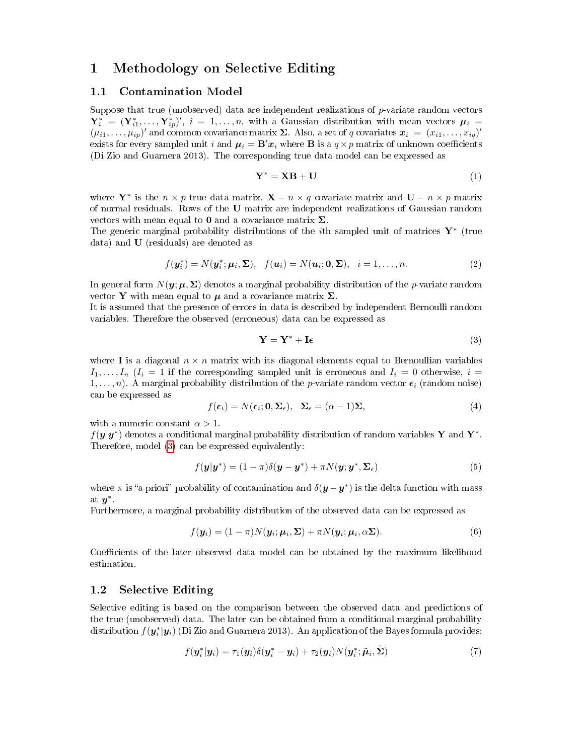### 1 Methodology on Selective Editing

### 1.1 Contamination Model

Suppose that true (unobserved) data are independent realizations of  $p$ -variate random vectors  $\mathbf{Y}_i^* = (\mathbf{Y}_{i1}^*, \ldots, \mathbf{Y}_{ip}^*)'$ ,  $i = 1, \ldots, n$ , with a Gaussian distribution with mean vectors  $\mu_i =$  $(\mu_{i1},\ldots,\mu_{ip})'$  and common covariance matrix  $\Sigma$ . Also, a set of q covariates  $\boldsymbol{x}_i = (x_{i1},\ldots,x_{iq})'$ exists for every sampled unit i and  $\mu_i = \mathbf{B}'x_i$  where **B** is a  $q \times p$  matrix of unknown coefficients (Di Zio and Guarnera 2013). The corresponding true data model can be expressed as

$$
Y^* = XB + U \tag{1}
$$

where  $\mathbf{Y}^*$  is the  $n \times p$  true data matrix,  $\mathbf{X} - n \times q$  covariate matrix and  $\mathbf{U} - n \times p$  matrix of normal residuals. Rows of the U matrix are independent realizations of Gaussian random vectors with mean equal to 0 and a covariance matrix  $\Sigma$ .

The generic marginal probability distributions of the *i*th sampled unit of matrices  $\mathbf{Y}^*$  (true data) and U (residuals) are denoted as

$$
f(\boldsymbol{y}_i^*) = N(\boldsymbol{y}_i^*; \boldsymbol{\mu}_i, \boldsymbol{\Sigma}), \quad f(\boldsymbol{u}_i) = N(\boldsymbol{u}_i; \boldsymbol{0}, \boldsymbol{\Sigma}), \quad i = 1, \dots, n. \tag{2}
$$

In general form  $N(\mathbf{y}; \mu, \Sigma)$  denotes a marginal probability distribution of the *p*-variate random vector Y with mean equal to  $\mu$  and a covariance matrix  $\Sigma$ .

It is assumed that the presence of errors in data is described by independent Bernoulli random variables. Therefore the observed (erroneous) data can be expressed as

<span id="page-1-0"></span>
$$
\mathbf{Y} = \mathbf{Y}^* + \mathbf{I}\boldsymbol{\epsilon} \tag{3}
$$

where I is a diagonal  $n \times n$  matrix with its diagonal elements equal to Bernoullian variables  $I_1, \ldots, I_n$   $(I_i = 1$  if the corresponding sampled unit is erroneous and  $I_i = 0$  otherwise,  $i =$  $1, \ldots, n$ ). A marginal probability distribution of the *p*-variate random vector  $\epsilon_i$  (random noise) can be expressed as

$$
f(\epsilon_i) = N(\epsilon_i; \mathbf{0}, \Sigma_{\epsilon}), \quad \Sigma_{\epsilon} = (\alpha - 1)\Sigma,
$$
\n(4)

with a numeric constant  $\alpha > 1$ .

 $f(\bm{y}|\bm{y}^*)$  denotes a conditional marginal probability distribution of random variables Y and Y<sup>\*</sup>. Therefore, model [\(3\)](#page-1-0) can be expressed equivalently:

$$
f(\mathbf{y}|\mathbf{y}^*) = (1-\pi)\delta(\mathbf{y}-\mathbf{y}^*) + \pi N(\mathbf{y};\mathbf{y}^*,\mathbf{\Sigma}_{\epsilon})
$$
\n(5)

where  $\pi$  is "a priori" probability of contamination and  $\delta(\bm{y}-\bm{y}^*)$  is the delta function with mass at  $y^*$ .

Furthermore, a marginal probability distribution of the observed data can be expressed as

$$
f(\mathbf{y}_i) = (1 - \pi)N(\mathbf{y}_i; \boldsymbol{\mu}_i, \boldsymbol{\Sigma}) + \pi N(\mathbf{y}_i; \boldsymbol{\mu}_i, \alpha \boldsymbol{\Sigma}).
$$
\n(6)

Coefficients of the later observed data model can be obtained by the maximum likelihood estimation.

#### 1.2 Selective Editing

Selective editing is based on the comparison between the observed data and predictions of the true (unobserved) data. The later can be obtained from a conditional marginal probability distribution  $f(\bm{y}_i^*|\bm{y}_i)$  (Di Zio and Guarnera 2013). An application of the Bayes formula provides:

$$
f(\boldsymbol{y}_i^*|\boldsymbol{y}_i) = \tau_1(\boldsymbol{y}_i)\delta(\boldsymbol{y}_i^* - \boldsymbol{y}_i) + \tau_2(\boldsymbol{y}_i)N(\boldsymbol{y}_i^*; \tilde{\boldsymbol{\mu}}_i, \tilde{\boldsymbol{\Sigma}})
$$
\n(7)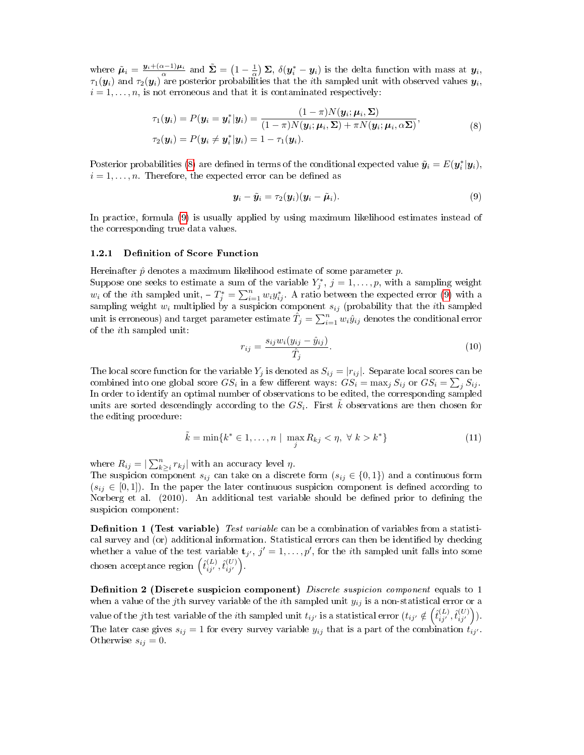where  $\tilde{\boldsymbol{\mu}}_i = \frac{\boldsymbol{y}_i + (\alpha - 1)\boldsymbol{\mu}_i}{\alpha}$  and  $\tilde{\boldsymbol{\Sigma}} = \left(1 - \frac{1}{\alpha}\right)\boldsymbol{\Sigma}, \ \delta(\boldsymbol{y}_i^* - \boldsymbol{y}_i)$  is the delta function with mass at  $\boldsymbol{y}_i$ ,  $\tau_1(\bm{y}_i)$  and  $\tau_2(\bm{y}_i)$  are posterior probabilities that the  $i$ th sampled unit with observed values  $\bm{y}_i,$  $i = 1, \ldots, n$ , is not erroneous and that it is contaminated respectively:

$$
\tau_1(\mathbf{y}_i) = P(\mathbf{y}_i = \mathbf{y}_i^* | \mathbf{y}_i) = \frac{(1 - \pi)N(\mathbf{y}_i; \boldsymbol{\mu}_i, \boldsymbol{\Sigma})}{(1 - \pi)N(\mathbf{y}_i; \boldsymbol{\mu}_i, \boldsymbol{\Sigma}) + \pi N(\mathbf{y}_i; \boldsymbol{\mu}_i, \alpha \boldsymbol{\Sigma})},
$$
\n
$$
\tau_2(\mathbf{y}_i) = P(\mathbf{y}_i \neq \mathbf{y}_i^* | \mathbf{y}_i) = 1 - \tau_1(\mathbf{y}_i).
$$
\n(8)

<span id="page-2-0"></span>Posterior probabilities [\(8\)](#page-2-0) are defined in terms of the conditional expected value  $\tilde{\bm{y}_i} = E(\bm{y}_i^*|\bm{y}_i),$  $i = 1, \ldots, n$ . Therefore, the expected error can be defined as

<span id="page-2-1"></span>
$$
\mathbf{y}_i - \tilde{\mathbf{y}}_i = \tau_2(\mathbf{y}_i)(\mathbf{y}_i - \tilde{\boldsymbol{\mu}}_i). \tag{9}
$$

In practice, formula [\(9\)](#page-2-1) is usually applied by using maximum likelihood estimates instead of the corresponding true data values.

#### 1.2.1 Definition of Score Function

of the ith sampled unit:

Hereinafter  $\hat{p}$  denotes a maximum likelihood estimate of some parameter  $p$ . Suppose one seeks to estimate a sum of the variable  $Y_j^*, j = 1, \ldots, p$ , with a sampling weight  $w_i$  of the *i*th sampled unit,  $-T_j^* = \sum_{i=1}^n w_i y_{ij}^*$ . A ratio between the expected error [\(9\)](#page-2-1) with a sampling weight  $w_i$  multiplied by a suspicion component  $s_{ij}$  (probability that the ith sampled unit is erroneous) and target parameter estimate  $\hat{T}_j = \sum_{i=1}^n w_i \hat{y}_{ij}$  denotes the conditional error

$$
S_{ij}w_{ij}(y_{ij} - \hat{y}_{ij})
$$

$$
r_{ij} = \frac{s_{ij}w_i(y_{ij} - \hat{y}_{ij})}{\hat{T}_j}.
$$
\n
$$
(10)
$$

The local score function for the variable  $Y_j$  is denoted as  $S_{ij} = |r_{ij}|$ . Separate local scores can be combined into one global score  $GS_i$  in a few different ways:  $GS_i = \max_j S_{ij}$  or  $GS_i = \sum_j S_{ij}$ . In order to identify an optimal number of observations to be edited, the corresponding sampled units are sorted descendingly according to the  $GS_i$ . First  $\tilde{k}$  observations are then chosen for the editing procedure:

$$
\tilde{k} = \min\{k^* \in 1, \dots, n \mid \max_j R_{kj} < \eta, \ \forall \ k > k^*\} \tag{11}
$$

where  $R_{ij} = |\sum_{k \geq i}^{n} r_{kj}|$  with an accuracy level  $\eta$ .

The suspicion component  $s_{ij}$  can take on a discrete form  $(s_{ij} \in \{0,1\})$  and a continuous form  $(s_{ij} \in [0,1])$ . In the paper the later continuous suspicion component is defined according to Norberg et al. (2010). An additional test variable should be defined prior to defining the suspicion component:

**Definition 1 (Test variable)** Test variable can be a combination of variables from a statistical survey and (or) additional information. Statistical errors can then be identified by checking whether a value of the test variable  $\mathbf{t}_{j'}, j' = 1, \ldots, p'$ , for the *i*th sampled unit falls into some  $\text{chosen acceptance region }\left(\hat{t}_{i j^{\prime}}^{(L)}, \hat{t}_{i j^{\prime}}^{(U)}\right)$ .

**Definition 2 (Discrete suspicion component)** Discrete suspicion component equals to 1 when a value of the jth survey variable of the *i*th sampled unit  $y_{ij}$  is a non-statistical error or a value of the jth test variable of the ith sampled unit  $t_{ij'}$  is a statistical error  $(t_{ij'} \notin \left( \hat{t}_{ij'}^{(L)}, \hat{t}_{ij'}^{(U)} \right)).$ The later case gives  $s_{ij} = 1$  for every survey variable  $y_{ij}$  that is a part of the combination  $t_{ij'}$ . Otherwise  $s_{ij} = 0$ .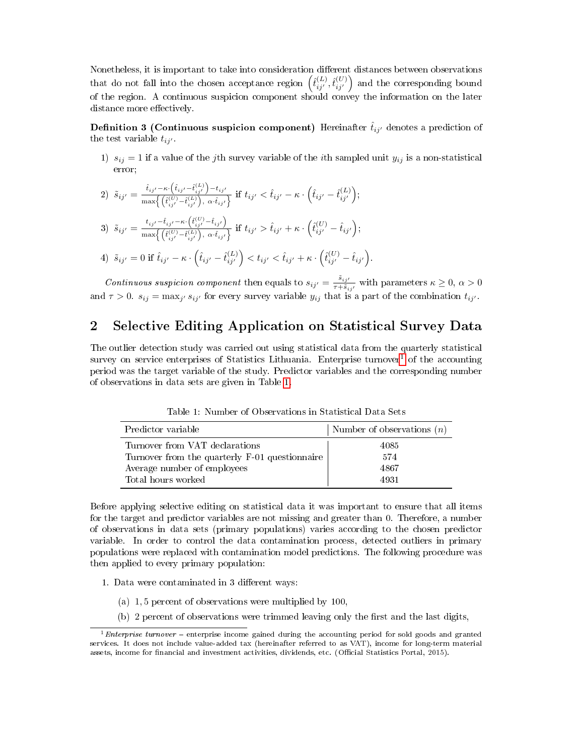Nonetheless, it is important to take into consideration different distances between observations that do not fall into the chosen acceptance region  $(\hat{t}_{ij'}^{(L)}, \hat{t}_{ij'}^{(U)})$  and the corresponding bound of the region. A continuous suspicion component should convey the information on the later distance more effectively.

**Definition 3 (Continuous suspicion component)** Hereinafter  $\hat{t}_{ij'}$  denotes a prediction of the test variable  $t_{ij'}$ .

1)  $s_{ij} = 1$  if a value of the jth survey variable of the *i*th sampled unit  $y_{ij}$  is a non-statistical error;

2) 
$$
\tilde{s}_{ij'} = \frac{\hat{t}_{ij'} - \kappa \cdot (\hat{t}_{ij'} - \hat{t}_{ij'}^{(L)}) - t_{ij'}}{\max \{ (\hat{t}_{ij'}^{(U)} - \hat{t}_{ij'}^{(L)}) , \alpha \cdot \hat{t}_{ij'} \} } \text{ if } t_{ij'} < \hat{t}_{ij'} - \kappa \cdot (\hat{t}_{ij'} - \hat{t}_{ij'}^{(L)}) ;
$$
  
\n3) 
$$
\tilde{s}_{ij'} = \frac{t_{ij'} - \hat{t}_{ij'} - \kappa \cdot (\hat{t}_{ij'}^{(U)} - \hat{t}_{ij'})}{\max \{ (\hat{t}_{ij'}^{(U)} - \hat{t}_{ij'}^{(L)}) , \alpha \cdot \hat{t}_{ij'} \} } \text{ if } t_{ij'} > \hat{t}_{ij'} + \kappa \cdot (\hat{t}_{ij'}^{(U)} - \hat{t}_{ij'}) ;
$$
  
\n4) 
$$
\tilde{s}_{ij'} = 0 \text{ if } \hat{t}_{ij'} - \kappa \cdot (\hat{t}_{ij'} - \hat{t}_{ij'}^{(L)}) < t_{ij'} < \hat{t}_{ij'} + \kappa \cdot (\hat{t}_{ij'}^{(U)} - \hat{t}_{ij'}) .
$$

Continuous suspicion component then equals to  $s_{ij'} = \frac{\tilde{s}_{ij'}}{\tau + \tilde{s}_i}$  $\frac{s_{ij'}}{\tau+\tilde{s}_{ij'}}$  with parameters  $\kappa \geq 0, \, \alpha > 0$ and  $\tau > 0$ .  $s_{ij} = \max_{j'} s_{ij'}$  for every survey variable  $y_{ij}$  that is a part of the combination  $t_{ij'}$ .

## 2 Selective Editing Application on Statistical Survey Data

The outlier detection study was carried out using statistical data from the quarterly statistical survey on service enterprises of Statistics Lithuania. Enterprise turnover<sup>[1](#page-3-0)</sup> of the accounting period was the target variable of the study. Predictor variables and the corresponding number of observations in data sets are given in Table [1.](#page-3-1)

| Predictor variable                             | Number of observations $(n)$ |
|------------------------------------------------|------------------------------|
| Turnover from VAT declarations                 | 4085                         |
| Turnover from the quarterly F-01 questionnaire | 574                          |
| Average number of employees                    | 4867                         |
| Total hours worked                             | 4931                         |

<span id="page-3-1"></span>Table 1: Number of Observations in Statistical Data Sets

Before applying selective editing on statistical data it was important to ensure that all items for the target and predictor variables are not missing and greater than 0. Therefore, a number of observations in data sets (primary populations) varies according to the chosen predictor variable. In order to control the data contamination process, detected outliers in primary populations were replaced with contamination model predictions. The following procedure was then applied to every primary population:

- 1. Data were contaminated in 3 different ways:
	- (a) 1, 5 percent of observations were multiplied by 100,
	- $(b)$  2 percent of observations were trimmed leaving only the first and the last digits,

<span id="page-3-0"></span><sup>&</sup>lt;sup>1</sup>Enterprise turnover – enterprise income gained during the accounting period for sold goods and granted services. It does not include value-added tax (hereinafter referred to as VAT), income for long-term material assets, income for financial and investment activities, dividends, etc. (Official Statistics Portal, 2015).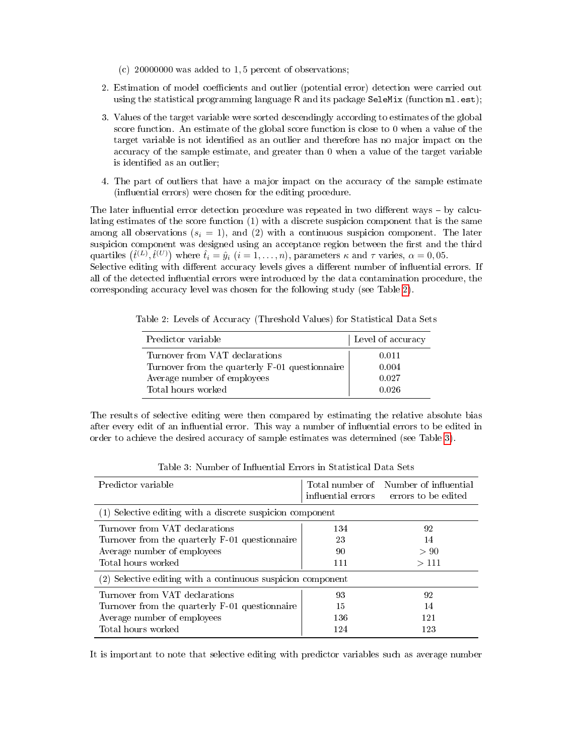- (c) 20000000 was added to 1, 5 percent of observations;
- 2. Estimation of model coefficients and outlier (potential error) detection were carried out using the statistical programming language R and its package SeleMix (function ml.est);
- 3. Values of the target variable were sorted descendingly according to estimates of the global score function. An estimate of the global score function is close to 0 when a value of the target variable is not identified as an outlier and therefore has no major impact on the accuracy of the sample estimate, and greater than 0 when a value of the target variable is identified as an outlier;
- 4. The part of outliers that have a major impact on the accuracy of the sample estimate (influential errors) were chosen for the editing procedure.

The later influential error detection procedure was repeated in two different ways  $-$  by calculating estimates of the score function (1) with a discrete suspicion component that is the same among all observations  $(s_i = 1)$ , and (2) with a continuous suspicion component. The later suspicion component was designed using an acceptance region between the first and the third quartiles  $(\hat{t}^{(L)}, \hat{t}^{(U)})$  where  $\hat{t}_i = \hat{y}_i$   $(i = 1, \ldots, n)$ , parameters  $\kappa$  and  $\tau$  varies,  $\alpha = 0, 05$ .

Selective editing with different accuracy levels gives a different number of influential errors. If all of the detected influential errors were introduced by the data contamination procedure, the corresponding accuracy level was chosen for the following study (see Table [2\)](#page-4-0).

Table 2: Levels of Accuracy (Threshold Values) for Statistical Data Sets

<span id="page-4-0"></span>

| Predictor variable                             | Level of accuracy |
|------------------------------------------------|-------------------|
| Turnover from VAT declarations                 | 0.011             |
| Turnover from the quarterly F-01 questionnaire | 0.004             |
| Average number of employees                    | 0.027             |
| Total hours worked                             | 0.026             |

The results of selective editing were then compared by estimating the relative absolute bias after every edit of an influential error. This way a number of influential errors to be edited in order to achieve the desired accuracy of sample estimates was determined (see Table [3\)](#page-4-1).

| Predictor variable                                          |     | Total number of Number of influential<br>influential errors errors to be edited |  |
|-------------------------------------------------------------|-----|---------------------------------------------------------------------------------|--|
| (1) Selective editing with a discrete suspicion component   |     |                                                                                 |  |
| Turnover from VAT declarations                              | 134 | 92                                                                              |  |
| Turnover from the quarterly F-01 questionnaire              | 23  | 14                                                                              |  |
| Average number of employees                                 | 90  | > 90                                                                            |  |
| Total hours worked                                          | 111 | >111                                                                            |  |
| (2) Selective editing with a continuous suspicion component |     |                                                                                 |  |
| Turnover from VAT declarations                              | 93  | 92                                                                              |  |
| Turnover from the quarterly F-01 questionnaire              | 15  | 14                                                                              |  |
| Average number of employees                                 | 136 | 121                                                                             |  |
| Total hours worked                                          | 124 | 123                                                                             |  |

<span id="page-4-1"></span>Table 3: Number of Influential Errors in Statistical Data Sets

It is important to note that selective editing with predictor variables such as average number